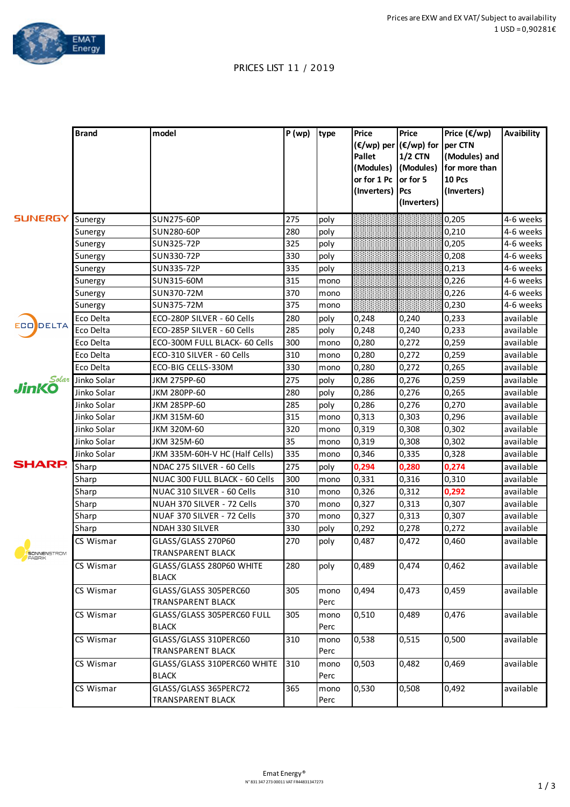

## PRICES LIST 11 / 2019

| (€/wp) per (€/wp) for per CTN<br>$1/2$ CTN<br>(Modules) and<br>Pallet<br>(Modules) (Modules)<br>for more than<br>10 Pcs<br>or for 1 Pc<br>or for 5<br>(Inverters)<br>Pcs<br>(Inverters)<br>(Inverters)<br><b>SUNERGY</b><br>SUN275-60P<br>275<br>0,205<br>Sunergy<br>poly<br>280<br>0,210<br>SUN280-60P<br>poly<br>Sunergy<br>325<br>0,205<br>SUN325-72P<br>poly<br>Sunergy<br>330<br>0,208<br>SUN330-72P<br>poly<br>Sunergy<br>335<br>0,213<br>SUN335-72P<br>poly<br>Sunergy<br>315<br>0,226<br>SUN315-60M<br>Sunergy<br>mono<br>370<br>SUN370-72M<br>0,226<br>Sunergy<br>mono | Price $(\epsilon/wp)$<br>Avaibility |
|---------------------------------------------------------------------------------------------------------------------------------------------------------------------------------------------------------------------------------------------------------------------------------------------------------------------------------------------------------------------------------------------------------------------------------------------------------------------------------------------------------------------------------------------------------------------------------|-------------------------------------|
|                                                                                                                                                                                                                                                                                                                                                                                                                                                                                                                                                                                 |                                     |
|                                                                                                                                                                                                                                                                                                                                                                                                                                                                                                                                                                                 |                                     |
|                                                                                                                                                                                                                                                                                                                                                                                                                                                                                                                                                                                 |                                     |
|                                                                                                                                                                                                                                                                                                                                                                                                                                                                                                                                                                                 |                                     |
|                                                                                                                                                                                                                                                                                                                                                                                                                                                                                                                                                                                 |                                     |
|                                                                                                                                                                                                                                                                                                                                                                                                                                                                                                                                                                                 | 4-6 weeks                           |
|                                                                                                                                                                                                                                                                                                                                                                                                                                                                                                                                                                                 | 4-6 weeks                           |
|                                                                                                                                                                                                                                                                                                                                                                                                                                                                                                                                                                                 | 4-6 weeks                           |
|                                                                                                                                                                                                                                                                                                                                                                                                                                                                                                                                                                                 | 4-6 weeks                           |
|                                                                                                                                                                                                                                                                                                                                                                                                                                                                                                                                                                                 | 4-6 weeks                           |
|                                                                                                                                                                                                                                                                                                                                                                                                                                                                                                                                                                                 | 4-6 weeks                           |
|                                                                                                                                                                                                                                                                                                                                                                                                                                                                                                                                                                                 | 4-6 weeks                           |
| 375<br>0,230<br>SUN375-72M<br>Sunergy<br>mono                                                                                                                                                                                                                                                                                                                                                                                                                                                                                                                                   | 4-6 weeks                           |
| 280<br>ECO-280P SILVER - 60 Cells<br>0,233<br>Eco Delta<br>poly<br>0,248<br>0,240                                                                                                                                                                                                                                                                                                                                                                                                                                                                                               | available                           |
| <b>ECO</b> DELTA<br>285<br>Eco Delta<br>ECO-285P SILVER - 60 Cells<br>0,248<br>0,240<br>0,233<br>poly                                                                                                                                                                                                                                                                                                                                                                                                                                                                           | available                           |
| 300<br>0,280<br>Eco Delta<br>ECO-300M FULL BLACK- 60 Cells<br>0,272<br>0,259<br>mono                                                                                                                                                                                                                                                                                                                                                                                                                                                                                            | available                           |
| 310<br>0,280<br>Eco Delta<br>ECO-310 SILVER - 60 Cells<br>0,272<br>0,259<br>mono                                                                                                                                                                                                                                                                                                                                                                                                                                                                                                | available                           |
| 330<br>Eco Delta<br>0,280<br>0,272<br>ECO-BIG CELLS-330M<br>0,265<br>mono                                                                                                                                                                                                                                                                                                                                                                                                                                                                                                       | available                           |
| 275<br>Solar<br>Jinko Solar<br>JKM 275PP-60<br>0,286<br>0,276<br>0,259                                                                                                                                                                                                                                                                                                                                                                                                                                                                                                          | available                           |
| poly<br><b>JinKO</b><br>280<br>JKM 280PP-60<br>0,286<br>0,276<br>0,265<br>Jinko Solar                                                                                                                                                                                                                                                                                                                                                                                                                                                                                           | available                           |
| poly<br>285<br>0,276<br>Jinko Solar<br>JKM 285PP-60<br>0,286<br>0,270<br>poly                                                                                                                                                                                                                                                                                                                                                                                                                                                                                                   | available                           |
| 315<br>Jinko Solar<br>JKM 315M-60<br>0,313<br>0,303<br>0,296<br>mono                                                                                                                                                                                                                                                                                                                                                                                                                                                                                                            | available                           |
| 320<br>Jinko Solar<br>JKM 320M-60<br>0,319<br>0,308<br>0,302                                                                                                                                                                                                                                                                                                                                                                                                                                                                                                                    | available                           |
| mono<br>35<br>Jinko Solar<br>0,319<br>JKM 325M-60<br>0,308<br>0,302<br>mono                                                                                                                                                                                                                                                                                                                                                                                                                                                                                                     | available                           |
| 335<br>Jinko Solar<br>JKM 335M-60H-V HC (Half Cells)<br>0,346<br>0,335<br>0,328<br>mono                                                                                                                                                                                                                                                                                                                                                                                                                                                                                         | available                           |
| <b>SHARP.</b><br>275<br>0,294<br>Sharp<br>NDAC 275 SILVER - 60 Cells<br>0,280<br>0,274                                                                                                                                                                                                                                                                                                                                                                                                                                                                                          | available                           |
| poly<br>300<br>0,331<br>0,316<br>0,310<br>Sharp<br>NUAC 300 FULL BLACK - 60 Cells<br>mono                                                                                                                                                                                                                                                                                                                                                                                                                                                                                       | available                           |
| 310<br>0,326<br>0,312<br>0,292<br>Sharp<br>NUAC 310 SILVER - 60 Cells                                                                                                                                                                                                                                                                                                                                                                                                                                                                                                           | available                           |
| mono<br>370<br>0,327<br>0,307<br>Sharp<br>NUAH 370 SILVER - 72 Cells<br>0,313                                                                                                                                                                                                                                                                                                                                                                                                                                                                                                   | available                           |
| mono<br>370<br>0,327<br>NUAF 370 SILVER - 72 Cells<br>0,313<br>0.307<br>Sharp<br>mono                                                                                                                                                                                                                                                                                                                                                                                                                                                                                           | available                           |
| 330<br>0,292<br>0,278<br><b>NDAH 330 SILVER</b><br>0,272<br>Sharp<br>poly                                                                                                                                                                                                                                                                                                                                                                                                                                                                                                       | available                           |
| GLASS/GLASS 270P60<br>270<br>0,487<br>CS Wismar<br>0,472<br>0,460<br>poly                                                                                                                                                                                                                                                                                                                                                                                                                                                                                                       | available                           |
| <b>TRANSPARENT BLACK</b><br><b>SONNENSTROM</b><br>FABRIK                                                                                                                                                                                                                                                                                                                                                                                                                                                                                                                        |                                     |
| GLASS/GLASS 280P60 WHITE<br>280<br>0,489<br>0,474<br>0,462<br>CS Wismar<br>poly<br><b>BLACK</b>                                                                                                                                                                                                                                                                                                                                                                                                                                                                                 | available                           |
| CS Wismar<br>GLASS/GLASS 305PERC60<br>305<br>0,494<br>0,473<br>0,459<br>mono<br>TRANSPARENT BLACK<br>Perc                                                                                                                                                                                                                                                                                                                                                                                                                                                                       | available                           |
| 0,489<br>CS Wismar<br>GLASS/GLASS 305PERC60 FULL<br>305<br>0,510<br>0,476<br>mono<br><b>BLACK</b><br>Perc                                                                                                                                                                                                                                                                                                                                                                                                                                                                       | available                           |
| GLASS/GLASS 310PERC60<br>310<br>0,538<br>0,515<br>CS Wismar<br>0,500<br>mono                                                                                                                                                                                                                                                                                                                                                                                                                                                                                                    | available                           |
| <b>TRANSPARENT BLACK</b><br>Perc                                                                                                                                                                                                                                                                                                                                                                                                                                                                                                                                                |                                     |
| CS Wismar<br>310<br>0,482<br>0,469<br>0,503<br>GLASS/GLASS 310PERC60 WHITE<br>mono<br><b>BLACK</b><br>Perc                                                                                                                                                                                                                                                                                                                                                                                                                                                                      | available                           |
| GLASS/GLASS 365PERC72<br>CS Wismar<br>365<br>0,530<br>0,508<br>0,492<br>mono<br>TRANSPARENT BLACK<br>Perc                                                                                                                                                                                                                                                                                                                                                                                                                                                                       | available                           |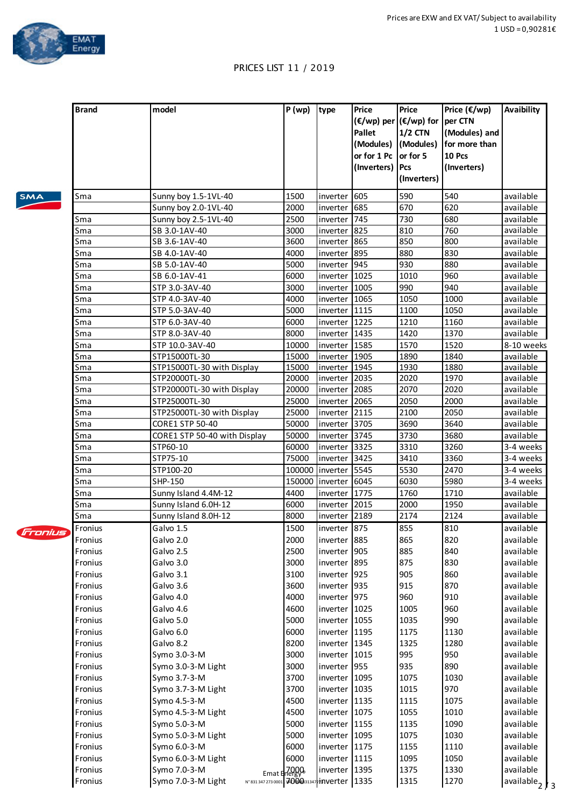

## PRICES LIST 11 / 2019

|            | <b>Brand</b> | model                                                             | P(wp)                          | type          | <b>Price</b><br><b>Pallet</b><br>(Modules)<br>or for 1 Pc<br>(Inverters) | Price<br>(€/wp) per (€/wp) for<br>$1/2$ CTN<br>(Modules)<br>or for 5<br>Pcs<br>(Inverters) | Price $(\epsilon/wp)$<br>per CTN<br>(Modules) and<br>for more than<br>10 Pcs<br>(Inverters) | Avaibility                 |
|------------|--------------|-------------------------------------------------------------------|--------------------------------|---------------|--------------------------------------------------------------------------|--------------------------------------------------------------------------------------------|---------------------------------------------------------------------------------------------|----------------------------|
| <b>SMA</b> | Sma          | Sunny boy 1.5-1VL-40                                              | 1500                           | inverter      | 605                                                                      | 590                                                                                        | 540                                                                                         | available                  |
|            |              | Sunny boy 2.0-1VL-40                                              | 2000                           | inverter      | 685                                                                      | 670                                                                                        | 620                                                                                         | available                  |
|            | Sma          | Sunny boy 2.5-1VL-40                                              | 2500                           | inverter      | 745                                                                      | 730                                                                                        | 680                                                                                         | available                  |
|            | Sma          | SB 3.0-1AV-40                                                     | 3000                           | inverter      | 825                                                                      | 810                                                                                        | 760                                                                                         | available                  |
|            | Sma          | SB 3.6-1AV-40                                                     | 3600                           | inverter      | 865                                                                      | 850                                                                                        | 800                                                                                         | available                  |
|            | Sma          | SB 4.0-1AV-40                                                     | 4000                           | inverter      | 895                                                                      | 880                                                                                        | 830                                                                                         | available                  |
|            | Sma          | SB 5.0-1AV-40                                                     | 5000                           | inverter      | 945                                                                      | 930                                                                                        | 880                                                                                         | available                  |
|            | Sma          | SB 6.0-1AV-41                                                     | 6000                           | inverter      | 1025                                                                     | 1010                                                                                       | 960                                                                                         | available                  |
|            | Sma          | STP 3.0-3AV-40                                                    | 3000                           | inverter      | 1005                                                                     | 990                                                                                        | 940                                                                                         | available                  |
|            | Sma          | STP 4.0-3AV-40                                                    | 4000                           | inverter      | 1065                                                                     | 1050                                                                                       | 1000                                                                                        | available                  |
|            | Sma          | STP 5.0-3AV-40                                                    | 5000                           | inverter 1115 |                                                                          | 1100                                                                                       | 1050                                                                                        | available                  |
|            | Sma          | STP 6.0-3AV-40                                                    | 6000                           | inverter      | 1225                                                                     | 1210                                                                                       | 1160                                                                                        | available                  |
|            | Sma          | STP 8.0-3AV-40                                                    | 8000                           | inverter      | 1435                                                                     | 1420                                                                                       | 1370                                                                                        | available                  |
|            | Sma          | STP 10.0-3AV-40                                                   | 10000                          | inverter      | 1585                                                                     | 1570                                                                                       | 1520                                                                                        | 8-10 weeks                 |
|            | Sma          | STP15000TL-30                                                     | 15000                          | inverter 1905 |                                                                          | 1890                                                                                       | 1840                                                                                        | available                  |
|            | Sma          | STP15000TL-30 with Display                                        | 15000                          | inverter 1945 |                                                                          | 1930                                                                                       | 1880                                                                                        | available                  |
|            | Sma          | STP20000TL-30                                                     | 20000                          | inverter      | 2035                                                                     | 2020                                                                                       | 1970                                                                                        | available                  |
|            | Sma          | STP20000TL-30 with Display                                        | 20000                          | inverter      | 2085                                                                     | 2070                                                                                       | 2020                                                                                        | available                  |
|            | Sma          | STP25000TL-30                                                     | 25000                          | inverter      | 2065                                                                     | 2050                                                                                       | 2000                                                                                        | available                  |
|            | Sma          | STP25000TL-30 with Display                                        | 25000                          | inverter      | 2115                                                                     | 2100                                                                                       | 2050                                                                                        | available                  |
|            | Sma          | CORE1 STP 50-40                                                   | 50000                          | inverter 3705 |                                                                          | 3690                                                                                       | 3640                                                                                        | available                  |
|            | Sma          | CORE1 STP 50-40 with Display                                      | 50000                          | inverter 3745 |                                                                          | 3730                                                                                       | 3680                                                                                        | available                  |
|            | Sma          | STP60-10                                                          | 60000                          | inverter 3325 |                                                                          | 3310                                                                                       | 3260                                                                                        | 3-4 weeks                  |
|            | Sma          | STP75-10                                                          | 75000                          | inverter 3425 |                                                                          | 3410                                                                                       | 3360<br>2470                                                                                | 3-4 weeks                  |
|            | Sma          | STP100-20                                                         | 100000                         | inverter 5545 |                                                                          | 5530                                                                                       |                                                                                             | 3-4 weeks                  |
|            | Sma          | SHP-150                                                           | 150000                         | inverter      | 6045                                                                     | 6030                                                                                       | 5980                                                                                        | 3-4 weeks                  |
|            | Sma          | Sunny Island 4.4M-12                                              | 4400                           | inverter 1775 |                                                                          | 1760                                                                                       | 1710                                                                                        | available                  |
|            | Sma          | Sunny Island 6.0H-12                                              | 6000                           | inverter      | 2015                                                                     | 2000                                                                                       | 1950                                                                                        | available                  |
|            | Sma          | Sunny Island 8.0H-12                                              | 8000                           | inverter 2189 |                                                                          | 2174                                                                                       | 2124                                                                                        | available                  |
| Fronius    | Fronius      | Galvo 1.5                                                         | 1500                           | inverter 875  |                                                                          | 855                                                                                        | 810                                                                                         | available                  |
|            | Fronius      | Galvo 2.0                                                         | 2000                           | inverter 885  |                                                                          | 865                                                                                        | 820                                                                                         | available                  |
|            | Fronius      | Galvo 2.5                                                         | 2500                           | inverter      | 905                                                                      | 885                                                                                        | 840                                                                                         | available                  |
|            | Fronius      | Galvo 3.0                                                         | 3000                           | inverter 895  |                                                                          | 875                                                                                        | 830                                                                                         | available                  |
|            | Fronius      | Galvo 3.1                                                         | 3100                           | inverter 925  |                                                                          | 905                                                                                        | 860                                                                                         | available                  |
|            | Fronius      | Galvo 3.6                                                         | 3600                           | inverter 935  |                                                                          | 915                                                                                        | 870                                                                                         | available                  |
|            | Fronius      | Galvo 4.0                                                         | 4000                           | inverter 975  |                                                                          | 960                                                                                        | 910                                                                                         | available                  |
|            | Fronius      | Galvo 4.6                                                         | 4600                           | inverter 1025 |                                                                          | 1005                                                                                       | 960                                                                                         | available                  |
|            | Fronius      | Galvo 5.0                                                         | 5000                           | inverter 1055 |                                                                          | 1035                                                                                       | 990                                                                                         | available                  |
|            | Fronius      | Galvo 6.0                                                         | 6000                           | inverter 1195 |                                                                          | 1175                                                                                       | 1130                                                                                        | available                  |
|            | Fronius      | Galvo 8.2                                                         | 8200                           | inverter 1345 |                                                                          | 1325                                                                                       | 1280                                                                                        | available                  |
|            | Fronius      | Symo 3.0-3-M                                                      | 3000                           | inverter 1015 |                                                                          | 995                                                                                        | 950                                                                                         | available                  |
|            | Fronius      | Symo 3.0-3-M Light                                                | 3000                           | inverter 955  |                                                                          | 935                                                                                        | 890                                                                                         | available                  |
|            | Fronius      | Symo 3.7-3-M                                                      | 3700                           | inverter 1095 |                                                                          | 1075                                                                                       | 1030                                                                                        | available                  |
|            | Fronius      | Symo 3.7-3-M Light                                                | 3700                           | inverter 1035 |                                                                          | 1015                                                                                       | 970                                                                                         | available                  |
|            | Fronius      | Symo 4.5-3-M                                                      | 4500                           | inverter 1135 |                                                                          | 1115                                                                                       | 1075                                                                                        | available                  |
|            | Fronius      | Symo 4.5-3-M Light                                                | 4500                           | inverter 1075 |                                                                          | 1055                                                                                       | 1010                                                                                        | available                  |
|            | Fronius      | Symo 5.0-3-M                                                      | 5000                           | inverter 1155 |                                                                          | 1135                                                                                       | 1090                                                                                        | available                  |
|            | Fronius      | Symo 5.0-3-M Light                                                | 5000                           | inverter 1095 |                                                                          | 1075                                                                                       | 1030                                                                                        | available                  |
|            | Fronius      | Symo 6.0-3-M                                                      | 6000                           | inverter 1175 |                                                                          | 1155                                                                                       | 1110                                                                                        | available                  |
|            | Fronius      | Symo 6.0-3-M Light                                                | 6000                           | inverter 1115 |                                                                          | 1095                                                                                       | 1050                                                                                        | available                  |
|            | Fronius      | Symo 7.0-3-M                                                      | $Emat$ $H_{\text{eff}}^{7000}$ | inverter 1395 |                                                                          | 1375                                                                                       | 1330                                                                                        | available                  |
|            | Fronius      | Symo 7.0-3-M Light<br>N° 831 347 273 0001 700031347 inverter 1335 |                                |               |                                                                          | 1315                                                                                       | 1270                                                                                        | available <sub>2</sub> / 3 |